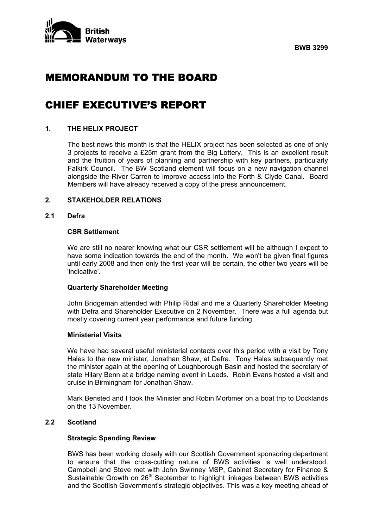



# MEMORANDUM TO THE BOARD

# CHIEF EXECUTIVE'S REPORT

### **1. THE HELIX PROJECT**

 The best news this month is that the HELIX project has been selected as one of only 3 projects to receive a £25m grant from the Big Lottery. This is an excellent result and the fruition of years of planning and partnership with key partners, particularly Falkirk Council. The BW Scotland element will focus on a new navigation channel alongside the River Carren to improve access into the Forth & Clyde Canal. Board Members will have already received a copy of the press announcement.

## **2. STAKEHOLDER RELATIONS**

# **2.1 Defra**

### **CSR Settlement**

 We are still no nearer knowing what our CSR settlement will be although I expect to have some indication towards the end of the month. We won't be given final figures until early 2008 and then only the first year will be certain, the other two years will be 'indicative'.

## **Quarterly Shareholder Meeting**

 John Bridgeman attended with Philip Ridal and me a Quarterly Shareholder Meeting with Defra and Shareholder Executive on 2 November. There was a full agenda but mostly covering current year performance and future funding.

#### **Ministerial Visits**

 We have had several useful ministerial contacts over this period with a visit by Tony Hales to the new minister, Jonathan Shaw, at Defra. Tony Hales subsequently met the minister again at the opening of Loughborough Basin and hosted the secretary of state Hilary Benn at a bridge naming event in Leeds. Robin Evans hosted a visit and cruise in Birmingham for Jonathan Shaw.

 Mark Bensted and I took the Minister and Robin Mortimer on a boat trip to Docklands on the 13 November.

# **2.2 Scotland**

#### **Strategic Spending Review**

 BWS has been working closely with our Scottish Government sponsoring department to ensure that the cross-cutting nature of BWS activities is well understood. Campbell and Steve met with John Swinney MSP, Cabinet Secretary for Finance & Sustainable Growth on 26<sup>th</sup> September to highlight linkages between BWS activities and the Scottish Government's strategic objectives. This was a key meeting ahead of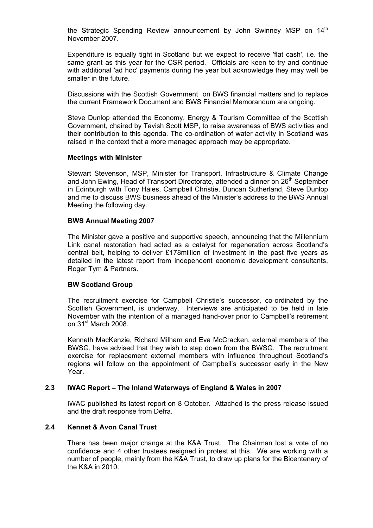the Strategic Spending Review announcement by John Swinney MSP on 14<sup>th</sup> November 2007.

 Expenditure is equally tight in Scotland but we expect to receive 'flat cash', i.e. the same grant as this year for the CSR period. Officials are keen to try and continue with additional 'ad hoc' payments during the year but acknowledge they may well be smaller in the future.

 Discussions with the Scottish Government on BWS financial matters and to replace the current Framework Document and BWS Financial Memorandum are ongoing.

 Steve Dunlop attended the Economy, Energy & Tourism Committee of the Scottish Government, chaired by Tavish Scott MSP, to raise awareness of BWS activities and their contribution to this agenda. The co-ordination of water activity in Scotland was raised in the context that a more managed approach may be appropriate.

### **Meetings with Minister**

 Stewart Stevenson, MSP, Minister for Transport, Infrastructure & Climate Change and John Ewing, Head of Transport Directorate, attended a dinner on 26<sup>th</sup> September in Edinburgh with Tony Hales, Campbell Christie, Duncan Sutherland, Steve Dunlop and me to discuss BWS business ahead of the Minister's address to the BWS Annual Meeting the following day.

### **BWS Annual Meeting 2007**

 The Minister gave a positive and supportive speech, announcing that the Millennium Link canal restoration had acted as a catalyst for regeneration across Scotland's central belt, helping to deliver £178million of investment in the past five years as detailed in the latest report from independent economic development consultants, Roger Tym & Partners.

### **BW Scotland Group**

 The recruitment exercise for Campbell Christie's successor, co-ordinated by the Scottish Government, is underway. Interviews are anticipated to be held in late November with the intention of a managed hand-over prior to Campbell's retirement on 31<sup>st</sup> March 2008.

 Kenneth MacKenzie, Richard Milham and Eva McCracken, external members of the BWSG, have advised that they wish to step down from the BWSG. The recruitment exercise for replacement external members with influence throughout Scotland's regions will follow on the appointment of Campbell's successor early in the New Year.

### **2.3 IWAC Report – The Inland Waterways of England & Wales in 2007**

 IWAC published its latest report on 8 October. Attached is the press release issued and the draft response from Defra.

### **2.4 Kennet & Avon Canal Trust**

 There has been major change at the K&A Trust. The Chairman lost a vote of no confidence and 4 other trustees resigned in protest at this. We are working with a number of people, mainly from the K&A Trust, to draw up plans for the Bicentenary of the K&A in 2010.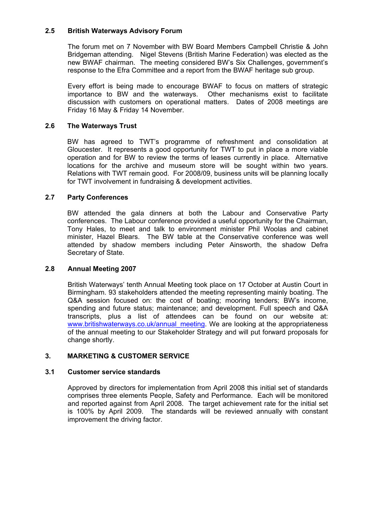# **2.5 British Waterways Advisory Forum**

 The forum met on 7 November with BW Board Members Campbell Christie & John Bridgeman attending. Nigel Stevens (British Marine Federation) was elected as the new BWAF chairman. The meeting considered BW's Six Challenges, government's response to the Efra Committee and a report from the BWAF heritage sub group.

 Every effort is being made to encourage BWAF to focus on matters of strategic importance to BW and the waterways. Other mechanisms exist to facilitate discussion with customers on operational matters. Dates of 2008 meetings are Friday 16 May & Friday 14 November.

# **2.6 The Waterways Trust**

 BW has agreed to TWT's programme of refreshment and consolidation at Gloucester. It represents a good opportunity for TWT to put in place a more viable operation and for BW to review the terms of leases currently in place. Alternative locations for the archive and museum store will be sought within two years. Relations with TWT remain good. For 2008/09, business units will be planning locally for TWT involvement in fundraising & development activities.

# **2.7 Party Conferences**

 BW attended the gala dinners at both the Labour and Conservative Party conferences. The Labour conference provided a useful opportunity for the Chairman, Tony Hales, to meet and talk to environment minister Phil Woolas and cabinet minister, Hazel Blears. The BW table at the Conservative conference was well attended by shadow members including Peter Ainsworth, the shadow Defra Secretary of State.

# **2.8 Annual Meeting 2007**

 British Waterways' tenth Annual Meeting took place on 17 October at Austin Court in Birmingham. 93 stakeholders attended the meeting representing mainly boating. The Q&A session focused on: the cost of boating; mooring tenders; BW's income, spending and future status; maintenance; and development. Full speech and Q&A transcripts, plus a list of attendees can be found on our website at: www.britishwaterways.co.uk/annual\_meeting. We are looking at the appropriateness of the annual meeting to our Stakeholder Strategy and will put forward proposals for change shortly.

# **3. MARKETING & CUSTOMER SERVICE**

# **3.1 Customer service standards**

 Approved by directors for implementation from April 2008 this initial set of standards comprises three elements People, Safety and Performance. Each will be monitored and reported against from April 2008. The target achievement rate for the initial set is 100% by April 2009. The standards will be reviewed annually with constant improvement the driving factor.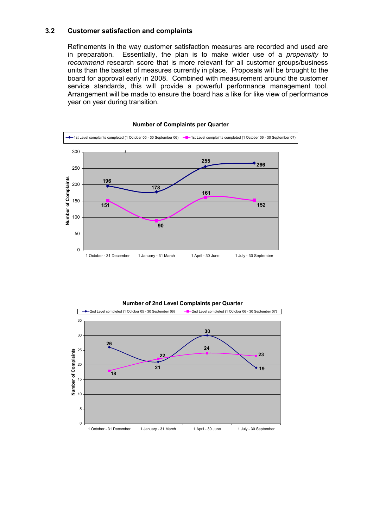## **3.2 Customer satisfaction and complaints**

 Refinements in the way customer satisfaction measures are recorded and used are in preparation. Essentially, the plan is to make wider use of a *propensity to recommend* research score that is more relevant for all customer groups/business units than the basket of measures currently in place. Proposals will be brought to the board for approval early in 2008. Combined with measurement around the customer service standards, this will provide a powerful performance management tool. Arrangement will be made to ensure the board has a like for like view of performance year on year during transition.



#### **Number of Complaints per Quarter**

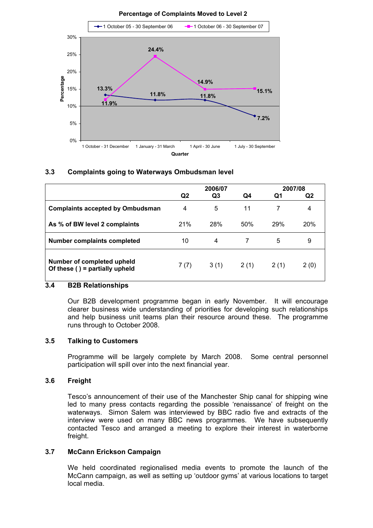

# **3.3 Complaints going to Waterways Ombudsman level**

|                                                               | 2006/07        |      |      | 2007/08 |      |
|---------------------------------------------------------------|----------------|------|------|---------|------|
|                                                               | Q <sub>2</sub> | Q3   | Q4   | Q1      | Q2   |
| <b>Complaints accepted by Ombudsman</b>                       | 4              | 5    | 11   |         | 4    |
| As % of BW level 2 complaints                                 | 21%            | 28%  | 50%  | 29%     | 20%  |
| <b>Number complaints completed</b>                            | 10             | 4    |      | 5       | 9    |
| Number of completed upheld<br>Of these ( ) = partially upheld | 7(7)           | 3(1) | 2(1) | 2(1)    | 2(0) |

# **3.4 B2B Relationships**

 Our B2B development programme began in early November. It will encourage clearer business wide understanding of priorities for developing such relationships and help business unit teams plan their resource around these. The programme runs through to October 2008.

### **3.5 Talking to Customers**

 Programme will be largely complete by March 2008. Some central personnel participation will spill over into the next financial year.

# **3.6 Freight**

 Tesco's announcement of their use of the Manchester Ship canal for shipping wine led to many press contacts regarding the possible 'renaissance' of freight on the waterways. Simon Salem was interviewed by BBC radio five and extracts of the interview were used on many BBC news programmes. We have subsequently contacted Tesco and arranged a meeting to explore their interest in waterborne freight.

### **3.7 McCann Erickson Campaign**

 We held coordinated regionalised media events to promote the launch of the McCann campaign, as well as setting up 'outdoor gyms' at various locations to target local media.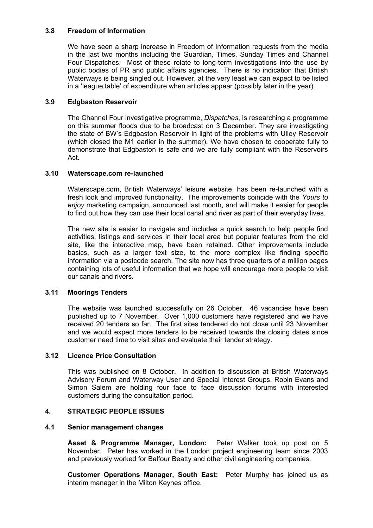# **3.8 Freedom of Information**

 We have seen a sharp increase in Freedom of Information requests from the media in the last two months including the Guardian, Times, Sunday Times and Channel Four Dispatches. Most of these relate to long-term investigations into the use by public bodies of PR and public affairs agencies. There is no indication that British Waterways is being singled out. However, at the very least we can expect to be listed in a 'league table' of expenditure when articles appear (possibly later in the year).

# **3.9 Edgbaston Reservoir**

 The Channel Four investigative programme, *Dispatches*, is researching a programme on this summer floods due to be broadcast on 3 December. They are investigating the state of BW's Edgbaston Reservoir in light of the problems with Ulley Reservoir (which closed the M1 earlier in the summer). We have chosen to cooperate fully to demonstrate that Edgbaston is safe and we are fully compliant with the Reservoirs Act.

# **3.10 Waterscape.com re-launched**

 Waterscape.com, British Waterways' leisure website, has been re-launched with a fresh look and improved functionality. The improvements coincide with the *Yours to enjoy* marketing campaign, announced last month, and will make it easier for people to find out how they can use their local canal and river as part of their everyday lives.

 The new site is easier to navigate and includes a quick search to help people find activities, listings and services in their local area but popular features from the old site, like the interactive map, have been retained. Other improvements include basics, such as a larger text size, to the more complex like finding specific information via a postcode search. The site now has three quarters of a million pages containing lots of useful information that we hope will encourage more people to visit our canals and rivers.

# **3.11 Moorings Tenders**

 The website was launched successfully on 26 October. 46 vacancies have been published up to 7 November. Over 1,000 customers have registered and we have received 20 tenders so far. The first sites tendered do not close until 23 November and we would expect more tenders to be received towards the closing dates since customer need time to visit sites and evaluate their tender strategy.

# **3.12 Licence Price Consultation**

 This was published on 8 October. In addition to discussion at British Waterways Advisory Forum and Waterway User and Special Interest Groups, Robin Evans and Simon Salem are holding four face to face discussion forums with interested customers during the consultation period.

# **4. STRATEGIC PEOPLE ISSUES**

# **4.1 Senior management changes**

 **Asset & Programme Manager, London:** Peter Walker took up post on 5 November. Peter has worked in the London project engineering team since 2003 and previously worked for Balfour Beatty and other civil engineering companies.

 **Customer Operations Manager, South East:** Peter Murphy has joined us as interim manager in the Milton Keynes office.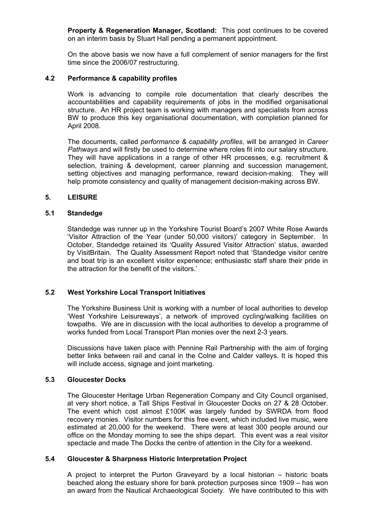**Property & Regeneration Manager, Scotland:** This post continues to be covered on an interim basis by Stuart Hall pending a permanent appointment.

 On the above basis we now have a full complement of senior managers for the first time since the 2006/07 restructuring.

### **4.2 Performance & capability profiles**

 Work is advancing to compile role documentation that clearly describes the accountabilities and capability requirements of jobs in the modified organisational structure. An HR project team is working with managers and specialists from across BW to produce this key organisational documentation, with completion planned for April 2008.

 The documents, called *performance & capability profiles*, will be arranged in *Career Pathways* and will firstly be used to determine where roles fit into our salary structure. They will have applications in a range of other HR processes, e.g. recruitment & selection, training & development, career planning and succession management, setting objectives and managing performance, reward decision-making. They will help promote consistency and quality of management decision-making across BW.

#### **5. LEISURE**

#### **5.1 Standedge**

Standedge was runner up in the Yorkshire Tourist Board's 2007 White Rose Awards 'Visitor Attraction of the Year (under 50,000 visitors)' category in September. In October, Standedge retained its 'Quality Assured Visitor Attraction' status, awarded by VisitBritain. The Quality Assessment Report noted that 'Standedge visitor centre and boat trip is an excellent visitor experience; enthusiastic staff share their pride in the attraction for the benefit of the visitors.'

### **5.2 West Yorkshire Local Transport Initiatives**

 The Yorkshire Business Unit is working with a number of local authorities to develop 'West Yorkshire Leisureways', a network of improved cycling/walking facilities on towpaths. We are in discussion with the local authorities to develop a programme of works funded from Local Transport Plan monies over the next 2-3 years.

 Discussions have taken place with Pennine Rail Partnership with the aim of forging better links between rail and canal in the Colne and Calder valleys. It is hoped this will include access, signage and joint marketing.

#### **5.3 Gloucester Docks**

 The Gloucester Heritage Urban Regeneration Company and City Council organised, at very short notice, a Tall Ships Festival in Gloucester Docks on 27 & 28 October. The event which cost almost £100K was largely funded by SWRDA from flood recovery monies. Visitor numbers for this free event, which included live music, were estimated at 20,000 for the weekend. There were at least 300 people around our office on the Monday morning to see the ships depart. This event was a real visitor spectacle and made The Docks the centre of attention in the City for a weekend.

### **5.4 Gloucester & Sharpness Historic Interpretation Project**

 A project to interpret the Purton Graveyard by a local historian – historic boats beached along the estuary shore for bank protection purposes since 1909 – has won an award from the Nautical Archaeological Society. We have contributed to this with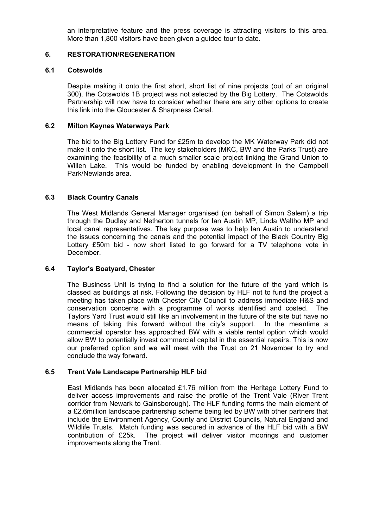an interpretative feature and the press coverage is attracting visitors to this area. More than 1,800 visitors have been given a guided tour to date.

# **6. RESTORATION/REGENERATION**

### **6.1 Cotswolds**

 Despite making it onto the first short, short list of nine projects (out of an original 300), the Cotswolds 1B project was not selected by the Big Lottery. The Cotswolds Partnership will now have to consider whether there are any other options to create this link into the Gloucester & Sharpness Canal.

## **6.2 Milton Keynes Waterways Park**

 The bid to the Big Lottery Fund for £25m to develop the MK Waterway Park did not make it onto the short list. The key stakeholders (MKC, BW and the Parks Trust) are examining the feasibility of a much smaller scale project linking the Grand Union to Willen Lake. This would be funded by enabling development in the Campbell Park/Newlands area.

# **6.3 Black Country Canals**

 The West Midlands General Manager organised (on behalf of Simon Salem) a trip through the Dudley and Netherton tunnels for Ian Austin MP, Linda Waltho MP and local canal representatives. The key purpose was to help Ian Austin to understand the issues concerning the canals and the potential impact of the Black Country Big Lottery £50m bid - now short listed to go forward for a TV telephone vote in December.

# **6.4 Taylor's Boatyard, Chester**

 The Business Unit is trying to find a solution for the future of the yard which is classed as buildings at risk. Following the decision by HLF not to fund the project a meeting has taken place with Chester City Council to address immediate H&S and conservation concerns with a programme of works identified and costed. The Taylors Yard Trust would still like an involvement in the future of the site but have no means of taking this forward without the city's support. In the meantime a commercial operator has approached BW with a viable rental option which would allow BW to potentially invest commercial capital in the essential repairs. This is now our preferred option and we will meet with the Trust on 21 November to try and conclude the way forward.

# **6.5 Trent Vale Landscape Partnership HLF bid**

 East Midlands has been allocated £1.76 million from the Heritage Lottery Fund to deliver access improvements and raise the profile of the Trent Vale (River Trent corridor from Newark to Gainsborough). The HLF funding forms the main element of a £2.6million landscape partnership scheme being led by BW with other partners that include the Environment Agency, County and District Councils, Natural England and Wildlife Trusts. Match funding was secured in advance of the HLF bid with a BW contribution of £25k. The project will deliver visitor moorings and customer improvements along the Trent.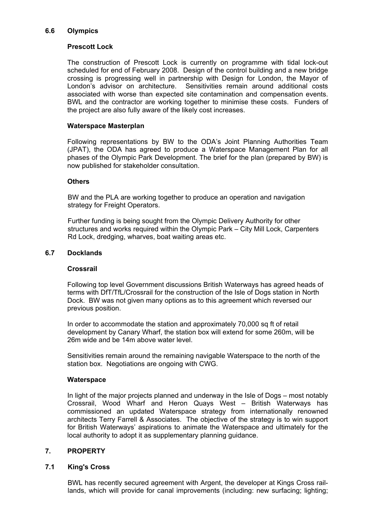# **6.6 Olympics**

# **Prescott Lock**

The construction of Prescott Lock is currently on programme with tidal lock-out scheduled for end of February 2008. Design of the control building and a new bridge crossing is progressing well in partnership with Design for London, the Mayor of London's advisor on architecture. Sensitivities remain around additional costs associated with worse than expected site contamination and compensation events. BWL and the contractor are working together to minimise these costs. Funders of the project are also fully aware of the likely cost increases.

## **Waterspace Masterplan**

 Following representations by BW to the ODA's Joint Planning Authorities Team (JPAT), the ODA has agreed to produce a Waterspace Management Plan for all phases of the Olympic Park Development. The brief for the plan (prepared by BW) is now published for stakeholder consultation.

## **Others**

 BW and the PLA are working together to produce an operation and navigation strategy for Freight Operators.

 Further funding is being sought from the Olympic Delivery Authority for other structures and works required within the Olympic Park – City Mill Lock, Carpenters Rd Lock, dredging, wharves, boat waiting areas etc.

# **6.7 Docklands**

### **Crossrail**

 Following top level Government discussions British Waterways has agreed heads of terms with DfT/TfL/Crossrail for the construction of the Isle of Dogs station in North Dock. BW was not given many options as to this agreement which reversed our previous position.

 In order to accommodate the station and approximately 70,000 sq ft of retail development by Canary Wharf, the station box will extend for some 260m, will be 26m wide and be 14m above water level.

 Sensitivities remain around the remaining navigable Waterspace to the north of the station box. Negotiations are ongoing with CWG.

### **Waterspace**

 In light of the major projects planned and underway in the Isle of Dogs – most notably Crossrail, Wood Wharf and Heron Quays West – British Waterways has commissioned an updated Waterspace strategy from internationally renowned architects Terry Farrell & Associates. The objective of the strategy is to win support for British Waterways' aspirations to animate the Waterspace and ultimately for the local authority to adopt it as supplementary planning guidance.

# **7. PROPERTY**

# **7.1 King's Cross**

 BWL has recently secured agreement with Argent, the developer at Kings Cross raillands, which will provide for canal improvements (including: new surfacing; lighting;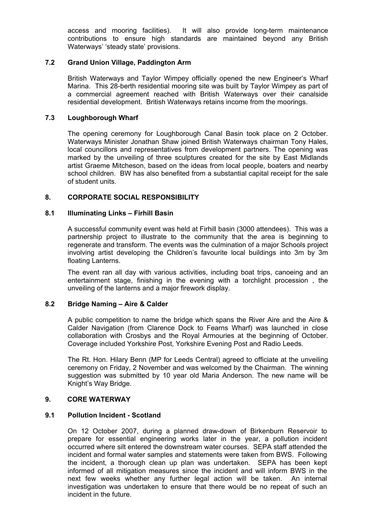access and mooring facilities). It will also provide long-term maintenance contributions to ensure high standards are maintained beyond any British Waterways' 'steady state' provisions.

# **7.2 Grand Union Village, Paddington Arm**

 British Waterways and Taylor Wimpey officially opened the new Engineer's Wharf Marina. This 28-berth residential mooring site was built by Taylor Wimpey as part of a commercial agreement reached with British Waterways over their canalside residential development. British Waterways retains income from the moorings.

## **7.3 Loughborough Wharf**

 The opening ceremony for Loughborough Canal Basin took place on 2 October. Waterways Minister Jonathan Shaw joined British Waterways chairman Tony Hales, local councillors and representatives from development partners. The opening was marked by the unveiling of three sculptures created for the site by East Midlands artist Graeme Mitcheson, based on the ideas from local people, boaters and nearby school children. BW has also benefited from a substantial capital receipt for the sale of student units.

# **8. CORPORATE SOCIAL RESPONSIBILITY**

## **8.1 Illuminating Links – Firhill Basin**

 A successful community event was held at Firhill basin (3000 attendees). This was a partnership project to illustrate to the community that the area is beginning to regenerate and transform. The events was the culmination of a major Schools project involving artist developing the Children's favourite local buildings into 3m by 3m floating Lanterns.

 The event ran all day with various activities, including boat trips, canoeing and an entertainment stage, finishing in the evening with a torchlight procession , the unveiling of the lanterns and a major firework display.

### **8.2 Bridge Naming – Aire & Calder**

 A public competition to name the bridge which spans the River Aire and the Aire & Calder Navigation (from Clarence Dock to Fearns Wharf) was launched in close collaboration with Crosbys and the Royal Armouries at the beginning of October. Coverage included Yorkshire Post, Yorkshire Evening Post and Radio Leeds.

 The Rt. Hon. Hilary Benn (MP for Leeds Central) agreed to officiate at the unveiling ceremony on Friday, 2 November and was welcomed by the Chairman. The winning suggestion was submitted by 10 year old Maria Anderson. The new name will be Knight's Way Bridge.

## **9. CORE WATERWAY**

## **9.1 Pollution Incident - Scotland**

 On 12 October 2007, during a planned draw-down of Birkenburn Reservoir to prepare for essential engineering works later in the year, a pollution incident occurred where silt entered the downstream water courses. SEPA staff attended the incident and formal water samples and statements were taken from BWS. Following the incident, a thorough clean up plan was undertaken. SEPA has been kept informed of all mitigation measures since the incident and will inform BWS in the next few weeks whether any further legal action will be taken. An internal investigation was undertaken to ensure that there would be no repeat of such an incident in the future.